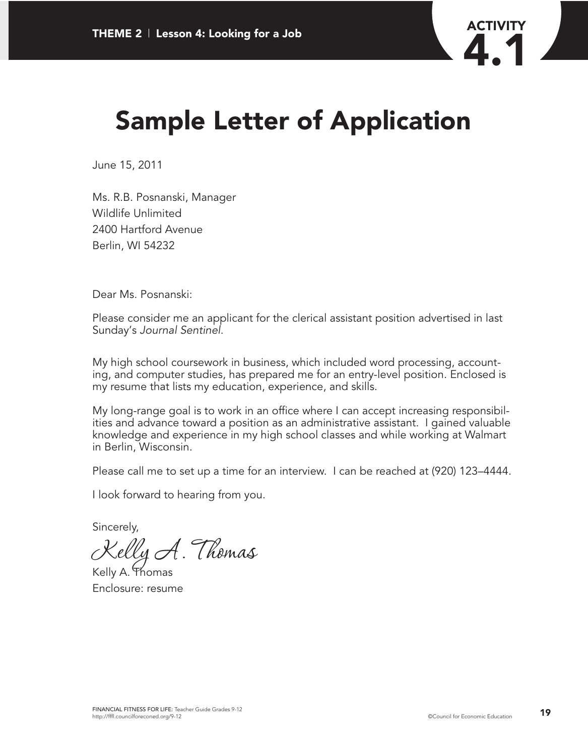

# **Sample Letter of Application**

June 15, 2011

Ms. R.B. Posnanski, Manager Wildlife Unlimited 2400 Hartford Avenue Berlin, WI 54232

Dear Ms. Posnanski:

Please consider me an applicant for the clerical assistant position advertised in last Sunday's *Journal Sentinel*.

My high school coursework in business, which included word processing, accounting, and computer studies, has prepared me for an entry-level position. Enclosed is my resume that lists my education, experience, and skills.

My long-range goal is to work in an office where I can accept increasing responsibilities and advance toward a position as an administrative assistant. I gained valuable knowledge and experience in my high school classes and while working at Walmart in Berlin, Wisconsin.

Please call me to set up a time for an interview. I can be reached at (920) 123–4444.

I look forward to hearing from you.

Sincerely,

Kelly A. Thomas

Kelly A. Thomas Enclosure: resume